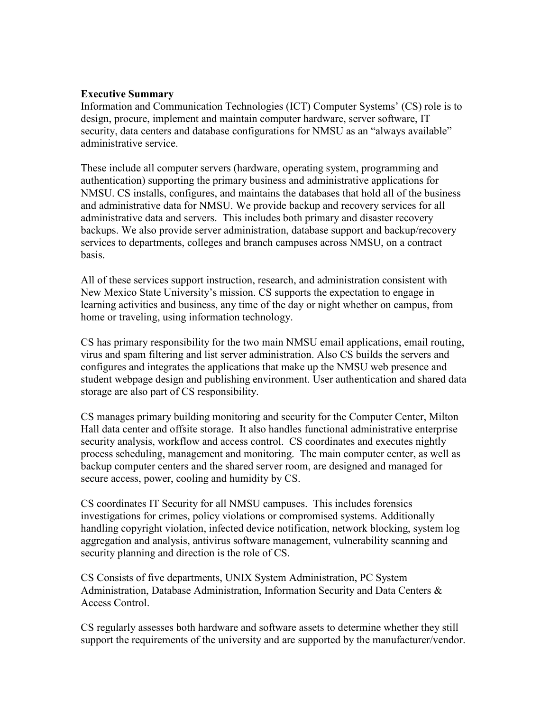### **Executive Summary**

Information and Communication Technologies (ICT) Computer Systems' (CS) role is to design, procure, implement and maintain computer hardware, server software, IT security, data centers and database configurations for NMSU as an "always available" administrative service.

These include all computer servers (hardware, operating system, programming and authentication) supporting the primary business and administrative applications for NMSU. CS installs, configures, and maintains the databases that hold all of the business and administrative data for NMSU. We provide backup and recovery services for all administrative data and servers. This includes both primary and disaster recovery backups. We also provide server administration, database support and backup/recovery services to departments, colleges and branch campuses across NMSU, on a contract basis.

All of these services support instruction, research, and administration consistent with New Mexico State University's mission. CS supports the expectation to engage in learning activities and business, any time of the day or night whether on campus, from home or traveling, using information technology.

CS has primary responsibility for the two main NMSU email applications, email routing, virus and spam filtering and list server administration. Also CS builds the servers and configures and integrates the applications that make up the NMSU web presence and student webpage design and publishing environment. User authentication and shared data storage are also part of CS responsibility.

CS manages primary building monitoring and security for the Computer Center, Milton Hall data center and offsite storage. It also handles functional administrative enterprise security analysis, workflow and access control. CS coordinates and executes nightly process scheduling, management and monitoring. The main computer center, as well as backup computer centers and the shared server room, are designed and managed for secure access, power, cooling and humidity by CS.

CS coordinates IT Security for all NMSU campuses. This includes forensics investigations for crimes, policy violations or compromised systems. Additionally handling copyright violation, infected device notification, network blocking, system log aggregation and analysis, antivirus software management, vulnerability scanning and security planning and direction is the role of CS.

CS Consists of five departments, UNIX System Administration, PC System Administration, Database Administration, Information Security and Data Centers & Access Control.

CS regularly assesses both hardware and software assets to determine whether they still support the requirements of the university and are supported by the manufacturer/vendor.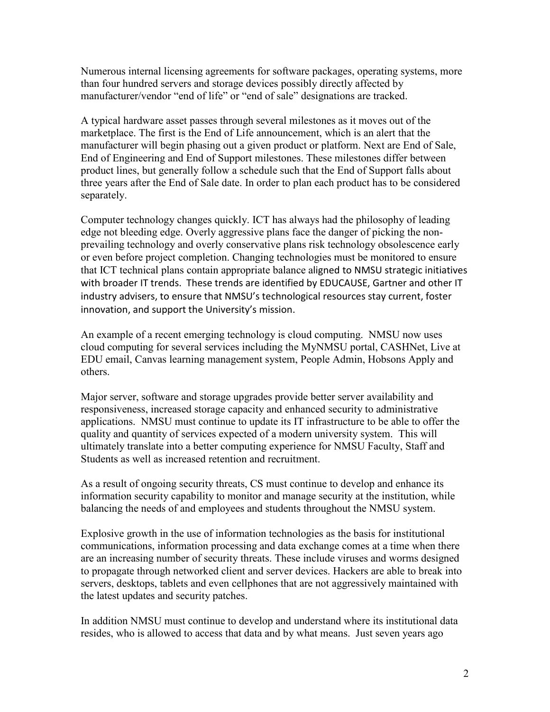Numerous internal licensing agreements for software packages, operating systems, more than four hundred servers and storage devices possibly directly affected by manufacturer/vendor "end of life" or "end of sale" designations are tracked.

A typical hardware asset passes through several milestones as it moves out of the marketplace. The first is the End of Life announcement, which is an alert that the manufacturer will begin phasing out a given product or platform. Next are End of Sale, End of Engineering and End of Support milestones. These milestones differ between product lines, but generally follow a schedule such that the End of Support falls about three years after the End of Sale date. In order to plan each product has to be considered separately.

Computer technology changes quickly. ICT has always had the philosophy of leading edge not bleeding edge. Overly aggressive plans face the danger of picking the nonprevailing technology and overly conservative plans risk technology obsolescence early or even before project completion. Changing technologies must be monitored to ensure that ICT technical plans contain appropriate balance aligned to NMSU strategic initiatives with broader IT trends. These trends are identified by EDUCAUSE, Gartner and other IT industry advisers, to ensure that NMSU's technological resources stay current, foster innovation, and support the University's mission.

An example of a recent emerging technology is cloud computing. NMSU now uses cloud computing for several services including the MyNMSU portal, CASHNet, Live at EDU email, Canvas learning management system, People Admin, Hobsons Apply and others.

Major server, software and storage upgrades provide better server availability and responsiveness, increased storage capacity and enhanced security to administrative applications. NMSU must continue to update its IT infrastructure to be able to offer the quality and quantity of services expected of a modern university system. This will ultimately translate into a better computing experience for NMSU Faculty, Staff and Students as well as increased retention and recruitment.

As a result of ongoing security threats, CS must continue to develop and enhance its information security capability to monitor and manage security at the institution, while balancing the needs of and employees and students throughout the NMSU system.

Explosive growth in the use of information technologies as the basis for institutional communications, information processing and data exchange comes at a time when there are an increasing number of security threats. These include viruses and worms designed to propagate through networked client and server devices. Hackers are able to break into servers, desktops, tablets and even cellphones that are not aggressively maintained with the latest updates and security patches.

In addition NMSU must continue to develop and understand where its institutional data resides, who is allowed to access that data and by what means. Just seven years ago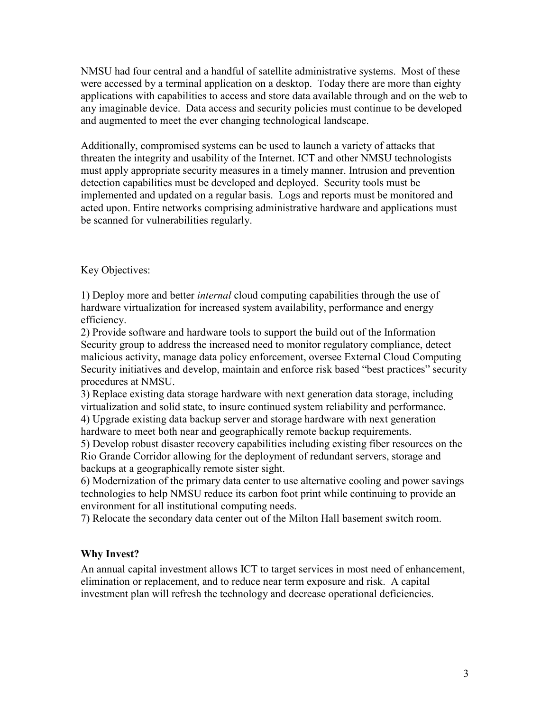NMSU had four central and a handful of satellite administrative systems. Most of these were accessed by a terminal application on a desktop. Today there are more than eighty applications with capabilities to access and store data available through and on the web to any imaginable device. Data access and security policies must continue to be developed and augmented to meet the ever changing technological landscape.

Additionally, compromised systems can be used to launch a variety of attacks that threaten the integrity and usability of the Internet. ICT and other NMSU technologists must apply appropriate security measures in a timely manner. Intrusion and prevention detection capabilities must be developed and deployed. Security tools must be implemented and updated on a regular basis. Logs and reports must be monitored and acted upon. Entire networks comprising administrative hardware and applications must be scanned for vulnerabilities regularly.

Key Objectives:

1) Deploy more and better *internal* cloud computing capabilities through the use of hardware virtualization for increased system availability, performance and energy efficiency.

2) Provide software and hardware tools to support the build out of the Information Security group to address the increased need to monitor regulatory compliance, detect malicious activity, manage data policy enforcement, oversee External Cloud Computing Security initiatives and develop, maintain and enforce risk based "best practices" security procedures at NMSU.

3) Replace existing data storage hardware with next generation data storage, including virtualization and solid state, to insure continued system reliability and performance.

4) Upgrade existing data backup server and storage hardware with next generation hardware to meet both near and geographically remote backup requirements.

5) Develop robust disaster recovery capabilities including existing fiber resources on the Rio Grande Corridor allowing for the deployment of redundant servers, storage and backups at a geographically remote sister sight.

6) Modernization of the primary data center to use alternative cooling and power savings technologies to help NMSU reduce its carbon foot print while continuing to provide an environment for all institutional computing needs.

7) Relocate the secondary data center out of the Milton Hall basement switch room.

## **Why Invest?**

An annual capital investment allows ICT to target services in most need of enhancement, elimination or replacement, and to reduce near term exposure and risk. A capital investment plan will refresh the technology and decrease operational deficiencies.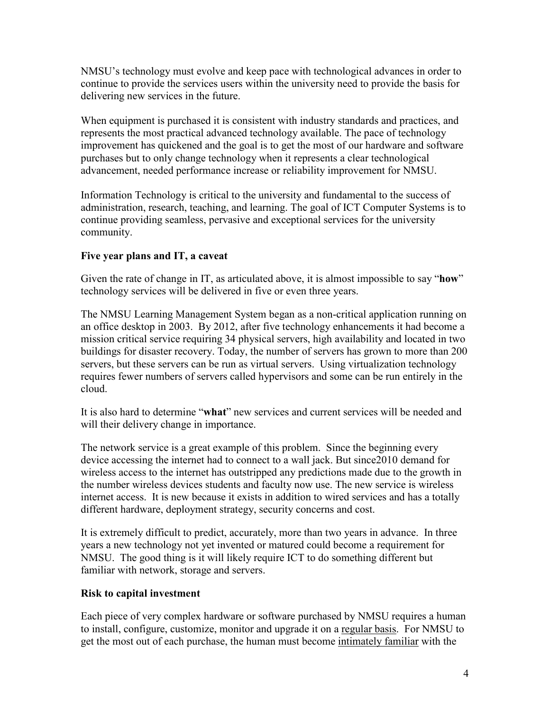NMSU's technology must evolve and keep pace with technological advances in order to continue to provide the services users within the university need to provide the basis for delivering new services in the future.

When equipment is purchased it is consistent with industry standards and practices, and represents the most practical advanced technology available. The pace of technology improvement has quickened and the goal is to get the most of our hardware and software purchases but to only change technology when it represents a clear technological advancement, needed performance increase or reliability improvement for NMSU.

Information Technology is critical to the university and fundamental to the success of administration, research, teaching, and learning. The goal of ICT Computer Systems is to continue providing seamless, pervasive and exceptional services for the university community.

# **Five year plans and IT, a caveat**

Given the rate of change in IT, as articulated above, it is almost impossible to say "**how**" technology services will be delivered in five or even three years.

The NMSU Learning Management System began as a non-critical application running on an office desktop in 2003. By 2012, after five technology enhancements it had become a mission critical service requiring 34 physical servers, high availability and located in two buildings for disaster recovery. Today, the number of servers has grown to more than 200 servers, but these servers can be run as virtual servers. Using virtualization technology requires fewer numbers of servers called hypervisors and some can be run entirely in the cloud.

It is also hard to determine "**what**" new services and current services will be needed and will their delivery change in importance.

The network service is a great example of this problem. Since the beginning every device accessing the internet had to connect to a wall jack. But since2010 demand for wireless access to the internet has outstripped any predictions made due to the growth in the number wireless devices students and faculty now use. The new service is wireless internet access. It is new because it exists in addition to wired services and has a totally different hardware, deployment strategy, security concerns and cost.

It is extremely difficult to predict, accurately, more than two years in advance. In three years a new technology not yet invented or matured could become a requirement for NMSU. The good thing is it will likely require ICT to do something different but familiar with network, storage and servers.

## **Risk to capital investment**

Each piece of very complex hardware or software purchased by NMSU requires a human to install, configure, customize, monitor and upgrade it on a regular basis. For NMSU to get the most out of each purchase, the human must become intimately familiar with the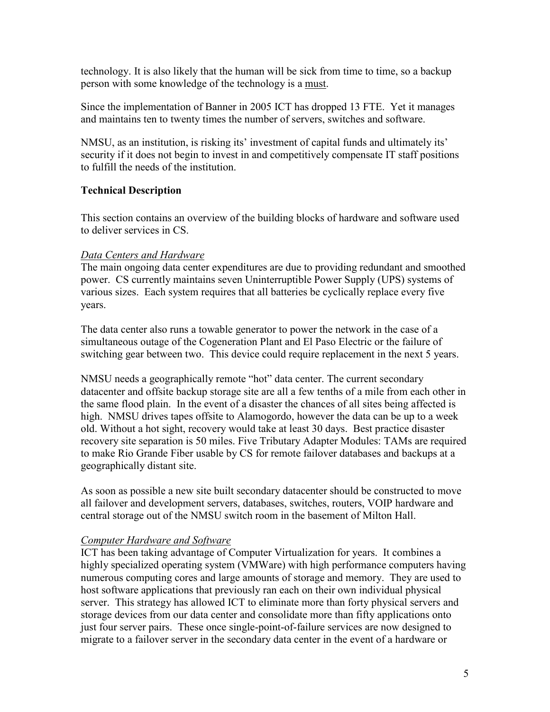technology. It is also likely that the human will be sick from time to time, so a backup person with some knowledge of the technology is a must.

Since the implementation of Banner in 2005 ICT has dropped 13 FTE. Yet it manages and maintains ten to twenty times the number of servers, switches and software.

NMSU, as an institution, is risking its' investment of capital funds and ultimately its' security if it does not begin to invest in and competitively compensate IT staff positions to fulfill the needs of the institution.

# **Technical Description**

This section contains an overview of the building blocks of hardware and software used to deliver services in CS.

# *Data Centers and Hardware*

The main ongoing data center expenditures are due to providing redundant and smoothed power. CS currently maintains seven Uninterruptible Power Supply (UPS) systems of various sizes. Each system requires that all batteries be cyclically replace every five years.

The data center also runs a towable generator to power the network in the case of a simultaneous outage of the Cogeneration Plant and El Paso Electric or the failure of switching gear between two. This device could require replacement in the next 5 years.

NMSU needs a geographically remote "hot" data center. The current secondary datacenter and offsite backup storage site are all a few tenths of a mile from each other in the same flood plain. In the event of a disaster the chances of all sites being affected is high. NMSU drives tapes offsite to Alamogordo, however the data can be up to a week old. Without a hot sight, recovery would take at least 30 days. Best practice disaster recovery site separation is 50 miles. Five Tributary Adapter Modules: TAMs are required to make Rio Grande Fiber usable by CS for remote failover databases and backups at a geographically distant site.

As soon as possible a new site built secondary datacenter should be constructed to move all failover and development servers, databases, switches, routers, VOIP hardware and central storage out of the NMSU switch room in the basement of Milton Hall.

## *Computer Hardware and Software*

ICT has been taking advantage of Computer Virtualization for years. It combines a highly specialized operating system (VMWare) with high performance computers having numerous computing cores and large amounts of storage and memory. They are used to host software applications that previously ran each on their own individual physical server. This strategy has allowed ICT to eliminate more than forty physical servers and storage devices from our data center and consolidate more than fifty applications onto just four server pairs. These once single-point-of-failure services are now designed to migrate to a failover server in the secondary data center in the event of a hardware or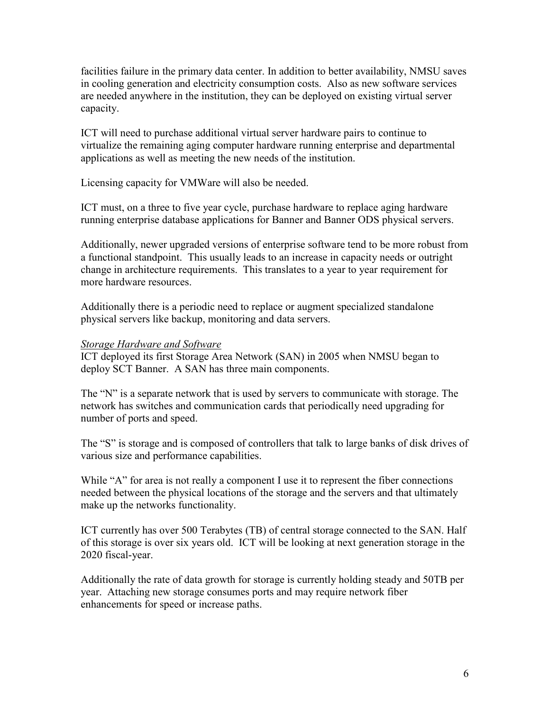facilities failure in the primary data center. In addition to better availability, NMSU saves in cooling generation and electricity consumption costs. Also as new software services are needed anywhere in the institution, they can be deployed on existing virtual server capacity.

ICT will need to purchase additional virtual server hardware pairs to continue to virtualize the remaining aging computer hardware running enterprise and departmental applications as well as meeting the new needs of the institution.

Licensing capacity for VMWare will also be needed.

ICT must, on a three to five year cycle, purchase hardware to replace aging hardware running enterprise database applications for Banner and Banner ODS physical servers.

Additionally, newer upgraded versions of enterprise software tend to be more robust from a functional standpoint. This usually leads to an increase in capacity needs or outright change in architecture requirements. This translates to a year to year requirement for more hardware resources.

Additionally there is a periodic need to replace or augment specialized standalone physical servers like backup, monitoring and data servers.

### *Storage Hardware and Software*

ICT deployed its first Storage Area Network (SAN) in 2005 when NMSU began to deploy SCT Banner. A SAN has three main components.

The "N" is a separate network that is used by servers to communicate with storage. The network has switches and communication cards that periodically need upgrading for number of ports and speed.

The "S" is storage and is composed of controllers that talk to large banks of disk drives of various size and performance capabilities.

While "A" for area is not really a component I use it to represent the fiber connections needed between the physical locations of the storage and the servers and that ultimately make up the networks functionality.

ICT currently has over 500 Terabytes (TB) of central storage connected to the SAN. Half of this storage is over six years old. ICT will be looking at next generation storage in the 2020 fiscal-year.

Additionally the rate of data growth for storage is currently holding steady and 50TB per year. Attaching new storage consumes ports and may require network fiber enhancements for speed or increase paths.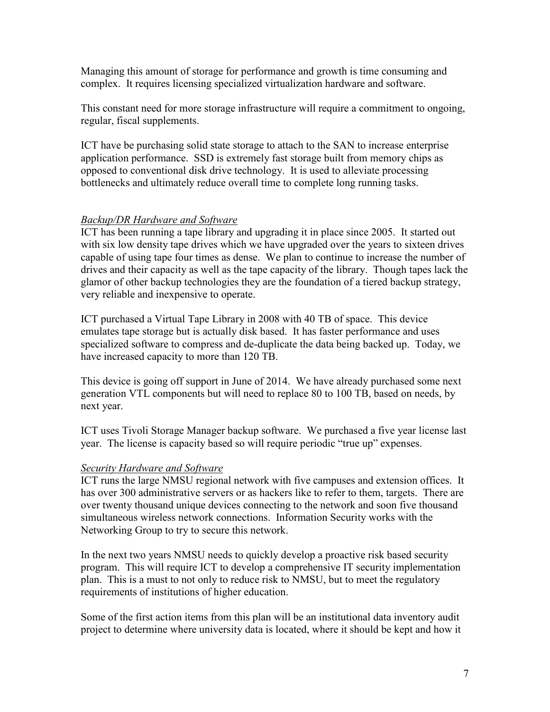Managing this amount of storage for performance and growth is time consuming and complex. It requires licensing specialized virtualization hardware and software.

This constant need for more storage infrastructure will require a commitment to ongoing, regular, fiscal supplements.

ICT have be purchasing solid state storage to attach to the SAN to increase enterprise application performance. SSD is extremely fast storage built from memory chips as opposed to conventional disk drive technology. It is used to alleviate processing bottlenecks and ultimately reduce overall time to complete long running tasks.

## *Backup/DR Hardware and Software*

ICT has been running a tape library and upgrading it in place since 2005. It started out with six low density tape drives which we have upgraded over the years to sixteen drives capable of using tape four times as dense. We plan to continue to increase the number of drives and their capacity as well as the tape capacity of the library. Though tapes lack the glamor of other backup technologies they are the foundation of a tiered backup strategy, very reliable and inexpensive to operate.

ICT purchased a Virtual Tape Library in 2008 with 40 TB of space. This device emulates tape storage but is actually disk based. It has faster performance and uses specialized software to compress and de-duplicate the data being backed up. Today, we have increased capacity to more than 120 TB.

This device is going off support in June of 2014. We have already purchased some next generation VTL components but will need to replace 80 to 100 TB, based on needs, by next year.

ICT uses Tivoli Storage Manager backup software. We purchased a five year license last year. The license is capacity based so will require periodic "true up" expenses.

## *Security Hardware and Software*

ICT runs the large NMSU regional network with five campuses and extension offices. It has over 300 administrative servers or as hackers like to refer to them, targets. There are over twenty thousand unique devices connecting to the network and soon five thousand simultaneous wireless network connections. Information Security works with the Networking Group to try to secure this network.

In the next two years NMSU needs to quickly develop a proactive risk based security program. This will require ICT to develop a comprehensive IT security implementation plan. This is a must to not only to reduce risk to NMSU, but to meet the regulatory requirements of institutions of higher education.

Some of the first action items from this plan will be an institutional data inventory audit project to determine where university data is located, where it should be kept and how it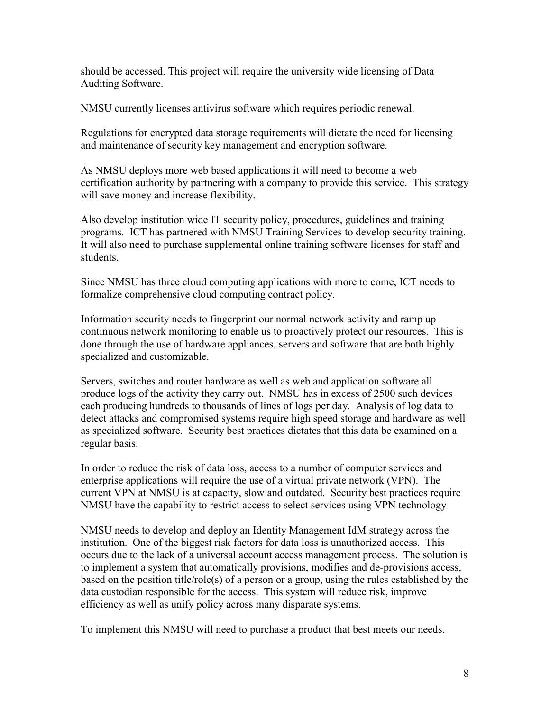should be accessed. This project will require the university wide licensing of Data Auditing Software.

NMSU currently licenses antivirus software which requires periodic renewal.

Regulations for encrypted data storage requirements will dictate the need for licensing and maintenance of security key management and encryption software.

As NMSU deploys more web based applications it will need to become a web certification authority by partnering with a company to provide this service. This strategy will save money and increase flexibility.

Also develop institution wide IT security policy, procedures, guidelines and training programs. ICT has partnered with NMSU Training Services to develop security training. It will also need to purchase supplemental online training software licenses for staff and students.

Since NMSU has three cloud computing applications with more to come, ICT needs to formalize comprehensive cloud computing contract policy.

Information security needs to fingerprint our normal network activity and ramp up continuous network monitoring to enable us to proactively protect our resources. This is done through the use of hardware appliances, servers and software that are both highly specialized and customizable.

Servers, switches and router hardware as well as web and application software all produce logs of the activity they carry out. NMSU has in excess of 2500 such devices each producing hundreds to thousands of lines of logs per day. Analysis of log data to detect attacks and compromised systems require high speed storage and hardware as well as specialized software. Security best practices dictates that this data be examined on a regular basis.

In order to reduce the risk of data loss, access to a number of computer services and enterprise applications will require the use of a virtual private network (VPN). The current VPN at NMSU is at capacity, slow and outdated. Security best practices require NMSU have the capability to restrict access to select services using VPN technology

NMSU needs to develop and deploy an Identity Management IdM strategy across the institution. One of the biggest risk factors for data loss is unauthorized access. This occurs due to the lack of a universal account access management process. The solution is to implement a system that automatically provisions, modifies and de-provisions access, based on the position title/role(s) of a person or a group, using the rules established by the data custodian responsible for the access. This system will reduce risk, improve efficiency as well as unify policy across many disparate systems.

To implement this NMSU will need to purchase a product that best meets our needs.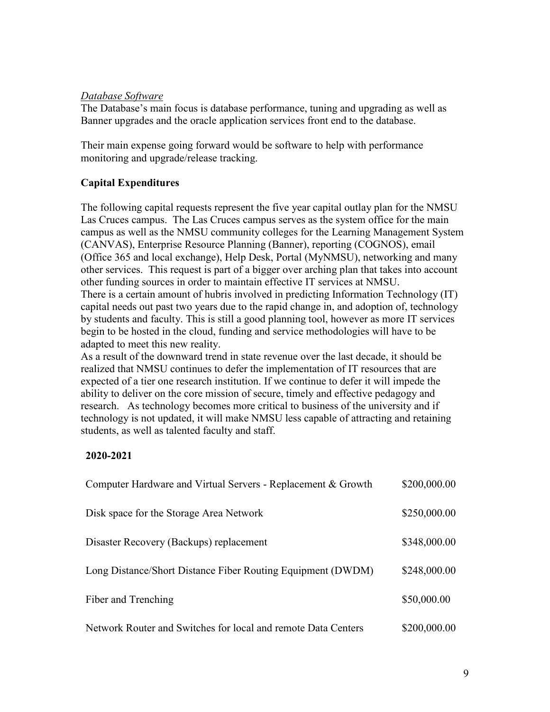### *Database Software*

The Database's main focus is database performance, tuning and upgrading as well as Banner upgrades and the oracle application services front end to the database.

Their main expense going forward would be software to help with performance monitoring and upgrade/release tracking.

## **Capital Expenditures**

The following capital requests represent the five year capital outlay plan for the NMSU Las Cruces campus. The Las Cruces campus serves as the system office for the main campus as well as the NMSU community colleges for the Learning Management System (CANVAS), Enterprise Resource Planning (Banner), reporting (COGNOS), email (Office 365 and local exchange), Help Desk, Portal (MyNMSU), networking and many other services. This request is part of a bigger over arching plan that takes into account other funding sources in order to maintain effective IT services at NMSU. There is a certain amount of hubris involved in predicting Information Technology (IT) capital needs out past two years due to the rapid change in, and adoption of, technology by students and faculty. This is still a good planning tool, however as more IT services begin to be hosted in the cloud, funding and service methodologies will have to be adapted to meet this new reality.

As a result of the downward trend in state revenue over the last decade, it should be realized that NMSU continues to defer the implementation of IT resources that are expected of a tier one research institution. If we continue to defer it will impede the ability to deliver on the core mission of secure, timely and effective pedagogy and research. As technology becomes more critical to business of the university and if technology is not updated, it will make NMSU less capable of attracting and retaining students, as well as talented faculty and staff.

### **2020-2021**

| Computer Hardware and Virtual Servers - Replacement & Growth  | \$200,000.00 |
|---------------------------------------------------------------|--------------|
| Disk space for the Storage Area Network                       | \$250,000.00 |
| Disaster Recovery (Backups) replacement                       | \$348,000.00 |
| Long Distance/Short Distance Fiber Routing Equipment (DWDM)   | \$248,000.00 |
| Fiber and Trenching                                           | \$50,000.00  |
| Network Router and Switches for local and remote Data Centers | \$200,000.00 |